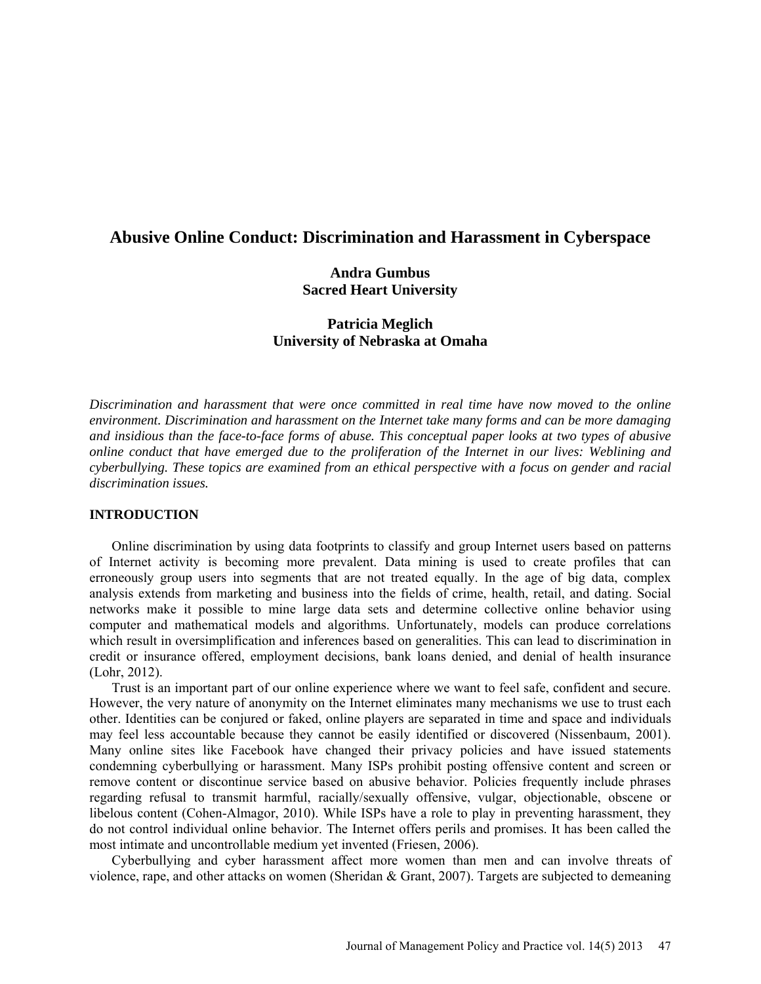# **Abusive Online Conduct: Discrimination and Harassment in Cyberspace**

## **Andra Gumbus Sacred Heart University**

# **Patricia Meglich University of Nebraska at Omaha**

*Discrimination and harassment that were once committed in real time have now moved to the online environment. Discrimination and harassment on the Internet take many forms and can be more damaging and insidious than the face-to-face forms of abuse. This conceptual paper looks at two types of abusive online conduct that have emerged due to the proliferation of the Internet in our lives: Weblining and cyberbullying. These topics are examined from an ethical perspective with a focus on gender and racial discrimination issues.*

## **INTRODUCTION**

Online discrimination by using data footprints to classify and group Internet users based on patterns of Internet activity is becoming more prevalent. Data mining is used to create profiles that can erroneously group users into segments that are not treated equally. In the age of big data, complex analysis extends from marketing and business into the fields of crime, health, retail, and dating. Social networks make it possible to mine large data sets and determine collective online behavior using computer and mathematical models and algorithms. Unfortunately, models can produce correlations which result in oversimplification and inferences based on generalities. This can lead to discrimination in credit or insurance offered, employment decisions, bank loans denied, and denial of health insurance (Lohr, 2012).

Trust is an important part of our online experience where we want to feel safe, confident and secure. However, the very nature of anonymity on the Internet eliminates many mechanisms we use to trust each other. Identities can be conjured or faked, online players are separated in time and space and individuals may feel less accountable because they cannot be easily identified or discovered (Nissenbaum, 2001). Many online sites like Facebook have changed their privacy policies and have issued statements condemning cyberbullying or harassment. Many ISPs prohibit posting offensive content and screen or remove content or discontinue service based on abusive behavior. Policies frequently include phrases regarding refusal to transmit harmful, racially/sexually offensive, vulgar, objectionable, obscene or libelous content (Cohen-Almagor, 2010). While ISPs have a role to play in preventing harassment, they do not control individual online behavior. The Internet offers perils and promises. It has been called the most intimate and uncontrollable medium yet invented (Friesen, 2006).

Cyberbullying and cyber harassment affect more women than men and can involve threats of violence, rape, and other attacks on women (Sheridan & Grant, 2007). Targets are subjected to demeaning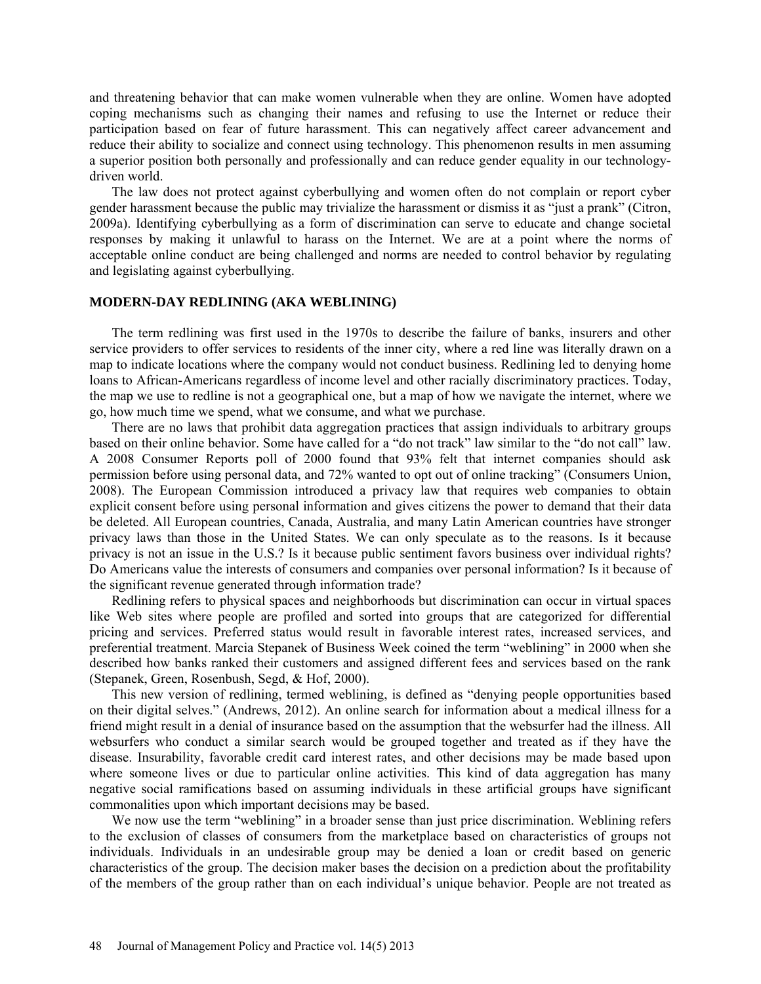and threatening behavior that can make women vulnerable when they are online. Women have adopted coping mechanisms such as changing their names and refusing to use the Internet or reduce their participation based on fear of future harassment. This can negatively affect career advancement and reduce their ability to socialize and connect using technology. This phenomenon results in men assuming a superior position both personally and professionally and can reduce gender equality in our technologydriven world.

The law does not protect against cyberbullying and women often do not complain or report cyber gender harassment because the public may trivialize the harassment or dismiss it as "just a prank" (Citron, 2009a). Identifying cyberbullying as a form of discrimination can serve to educate and change societal responses by making it unlawful to harass on the Internet. We are at a point where the norms of acceptable online conduct are being challenged and norms are needed to control behavior by regulating and legislating against cyberbullying.

#### **MODERN-DAY REDLINING (AKA WEBLINING)**

The term redlining was first used in the 1970s to describe the failure of banks, insurers and other service providers to offer services to residents of the inner city, where a red line was literally drawn on a map to indicate locations where the company would not conduct business. Redlining led to denying home loans to African-Americans regardless of income level and other racially discriminatory practices. Today, the map we use to redline is not a geographical one, but a map of how we navigate the internet, where we go, how much time we spend, what we consume, and what we purchase.

There are no laws that prohibit data aggregation practices that assign individuals to arbitrary groups based on their online behavior. Some have called for a "do not track" law similar to the "do not call" law. A 2008 Consumer Reports poll of 2000 found that 93% felt that internet companies should ask permission before using personal data, and 72% wanted to opt out of online tracking" (Consumers Union, 2008). The European Commission introduced a privacy law that requires web companies to obtain explicit consent before using personal information and gives citizens the power to demand that their data be deleted. All European countries, Canada, Australia, and many Latin American countries have stronger privacy laws than those in the United States. We can only speculate as to the reasons. Is it because privacy is not an issue in the U.S.? Is it because public sentiment favors business over individual rights? Do Americans value the interests of consumers and companies over personal information? Is it because of the significant revenue generated through information trade?

Redlining refers to physical spaces and neighborhoods but discrimination can occur in virtual spaces like Web sites where people are profiled and sorted into groups that are categorized for differential pricing and services. Preferred status would result in favorable interest rates, increased services, and preferential treatment. Marcia Stepanek of Business Week coined the term "weblining" in 2000 when she described how banks ranked their customers and assigned different fees and services based on the rank (Stepanek, Green, Rosenbush, Segd, & Hof, 2000).

This new version of redlining, termed weblining, is defined as "denying people opportunities based on their digital selves." (Andrews, 2012). An online search for information about a medical illness for a friend might result in a denial of insurance based on the assumption that the websurfer had the illness. All websurfers who conduct a similar search would be grouped together and treated as if they have the disease. Insurability, favorable credit card interest rates, and other decisions may be made based upon where someone lives or due to particular online activities. This kind of data aggregation has many negative social ramifications based on assuming individuals in these artificial groups have significant commonalities upon which important decisions may be based.

We now use the term "weblining" in a broader sense than just price discrimination. Weblining refers to the exclusion of classes of consumers from the marketplace based on characteristics of groups not individuals. Individuals in an undesirable group may be denied a loan or credit based on generic characteristics of the group. The decision maker bases the decision on a prediction about the profitability of the members of the group rather than on each individual's unique behavior. People are not treated as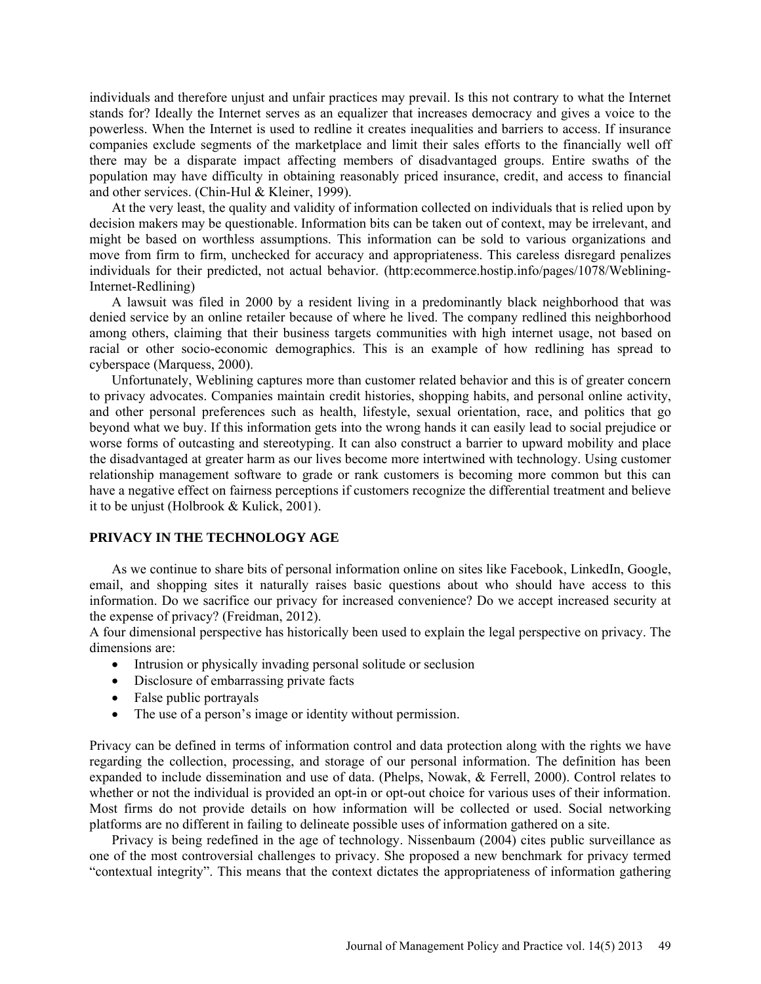individuals and therefore unjust and unfair practices may prevail. Is this not contrary to what the Internet stands for? Ideally the Internet serves as an equalizer that increases democracy and gives a voice to the powerless. When the Internet is used to redline it creates inequalities and barriers to access. If insurance companies exclude segments of the marketplace and limit their sales efforts to the financially well off there may be a disparate impact affecting members of disadvantaged groups. Entire swaths of the population may have difficulty in obtaining reasonably priced insurance, credit, and access to financial and other services. (Chin-Hul & Kleiner, 1999).

At the very least, the quality and validity of information collected on individuals that is relied upon by decision makers may be questionable. Information bits can be taken out of context, may be irrelevant, and might be based on worthless assumptions. This information can be sold to various organizations and move from firm to firm, unchecked for accuracy and appropriateness. This careless disregard penalizes individuals for their predicted, not actual behavior. (http:ecommerce.hostip.info/pages/1078/Weblining-Internet-Redlining)

A lawsuit was filed in 2000 by a resident living in a predominantly black neighborhood that was denied service by an online retailer because of where he lived. The company redlined this neighborhood among others, claiming that their business targets communities with high internet usage, not based on racial or other socio-economic demographics. This is an example of how redlining has spread to cyberspace (Marquess, 2000).

Unfortunately, Weblining captures more than customer related behavior and this is of greater concern to privacy advocates. Companies maintain credit histories, shopping habits, and personal online activity, and other personal preferences such as health, lifestyle, sexual orientation, race, and politics that go beyond what we buy. If this information gets into the wrong hands it can easily lead to social prejudice or worse forms of outcasting and stereotyping. It can also construct a barrier to upward mobility and place the disadvantaged at greater harm as our lives become more intertwined with technology. Using customer relationship management software to grade or rank customers is becoming more common but this can have a negative effect on fairness perceptions if customers recognize the differential treatment and believe it to be unjust (Holbrook & Kulick, 2001).

### **PRIVACY IN THE TECHNOLOGY AGE**

As we continue to share bits of personal information online on sites like Facebook, LinkedIn, Google, email, and shopping sites it naturally raises basic questions about who should have access to this information. Do we sacrifice our privacy for increased convenience? Do we accept increased security at the expense of privacy? (Freidman, 2012).

A four dimensional perspective has historically been used to explain the legal perspective on privacy. The dimensions are:

- Intrusion or physically invading personal solitude or seclusion
- Disclosure of embarrassing private facts
- False public portrayals
- The use of a person's image or identity without permission.

Privacy can be defined in terms of information control and data protection along with the rights we have regarding the collection, processing, and storage of our personal information. The definition has been expanded to include dissemination and use of data. (Phelps, Nowak, & Ferrell, 2000). Control relates to whether or not the individual is provided an opt-in or opt-out choice for various uses of their information. Most firms do not provide details on how information will be collected or used. Social networking platforms are no different in failing to delineate possible uses of information gathered on a site.

Privacy is being redefined in the age of technology. Nissenbaum (2004) cites public surveillance as one of the most controversial challenges to privacy. She proposed a new benchmark for privacy termed "contextual integrity". This means that the context dictates the appropriateness of information gathering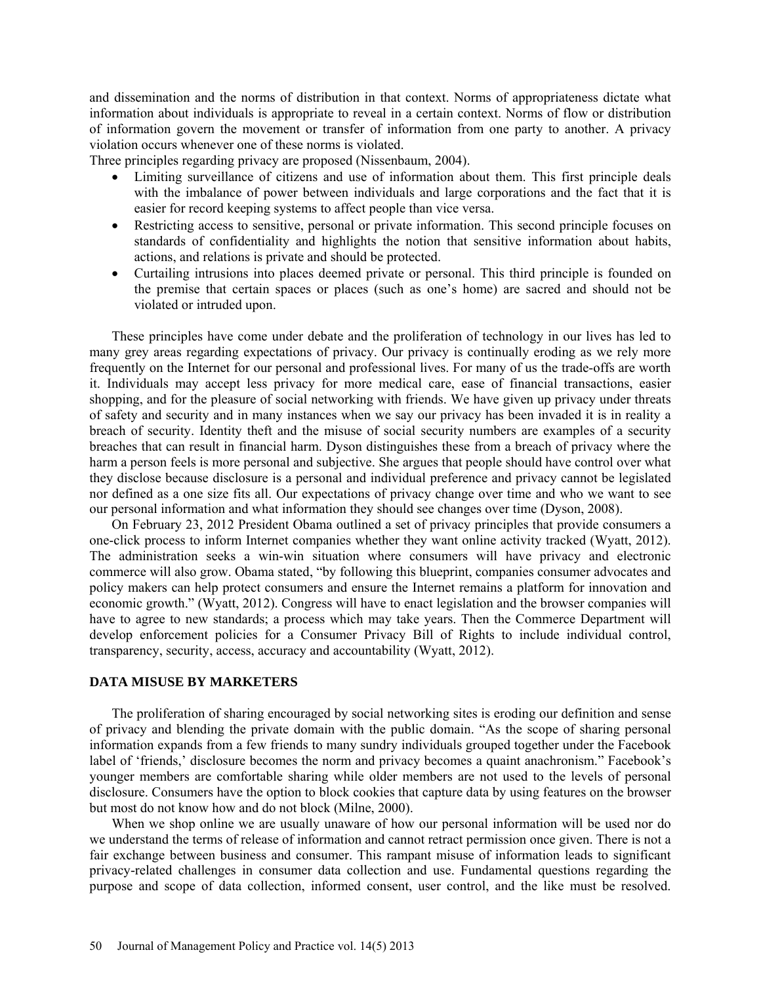and dissemination and the norms of distribution in that context. Norms of appropriateness dictate what information about individuals is appropriate to reveal in a certain context. Norms of flow or distribution of information govern the movement or transfer of information from one party to another. A privacy violation occurs whenever one of these norms is violated.

Three principles regarding privacy are proposed (Nissenbaum, 2004).

- Limiting surveillance of citizens and use of information about them. This first principle deals with the imbalance of power between individuals and large corporations and the fact that it is easier for record keeping systems to affect people than vice versa.
- Restricting access to sensitive, personal or private information. This second principle focuses on standards of confidentiality and highlights the notion that sensitive information about habits, actions, and relations is private and should be protected.
- Curtailing intrusions into places deemed private or personal. This third principle is founded on the premise that certain spaces or places (such as one's home) are sacred and should not be violated or intruded upon.

These principles have come under debate and the proliferation of technology in our lives has led to many grey areas regarding expectations of privacy. Our privacy is continually eroding as we rely more frequently on the Internet for our personal and professional lives. For many of us the trade-offs are worth it. Individuals may accept less privacy for more medical care, ease of financial transactions, easier shopping, and for the pleasure of social networking with friends. We have given up privacy under threats of safety and security and in many instances when we say our privacy has been invaded it is in reality a breach of security. Identity theft and the misuse of social security numbers are examples of a security breaches that can result in financial harm. Dyson distinguishes these from a breach of privacy where the harm a person feels is more personal and subjective. She argues that people should have control over what they disclose because disclosure is a personal and individual preference and privacy cannot be legislated nor defined as a one size fits all. Our expectations of privacy change over time and who we want to see our personal information and what information they should see changes over time (Dyson, 2008).

On February 23, 2012 President Obama outlined a set of privacy principles that provide consumers a one-click process to inform Internet companies whether they want online activity tracked (Wyatt, 2012). The administration seeks a win-win situation where consumers will have privacy and electronic commerce will also grow. Obama stated, "by following this blueprint, companies consumer advocates and policy makers can help protect consumers and ensure the Internet remains a platform for innovation and economic growth." (Wyatt, 2012). Congress will have to enact legislation and the browser companies will have to agree to new standards; a process which may take years. Then the Commerce Department will develop enforcement policies for a Consumer Privacy Bill of Rights to include individual control, transparency, security, access, accuracy and accountability (Wyatt, 2012).

#### **DATA MISUSE BY MARKETERS**

The proliferation of sharing encouraged by social networking sites is eroding our definition and sense of privacy and blending the private domain with the public domain. "As the scope of sharing personal information expands from a few friends to many sundry individuals grouped together under the Facebook label of 'friends,' disclosure becomes the norm and privacy becomes a quaint anachronism." Facebook's younger members are comfortable sharing while older members are not used to the levels of personal disclosure. Consumers have the option to block cookies that capture data by using features on the browser but most do not know how and do not block (Milne, 2000).

When we shop online we are usually unaware of how our personal information will be used nor do we understand the terms of release of information and cannot retract permission once given. There is not a fair exchange between business and consumer. This rampant misuse of information leads to significant privacy-related challenges in consumer data collection and use. Fundamental questions regarding the purpose and scope of data collection, informed consent, user control, and the like must be resolved.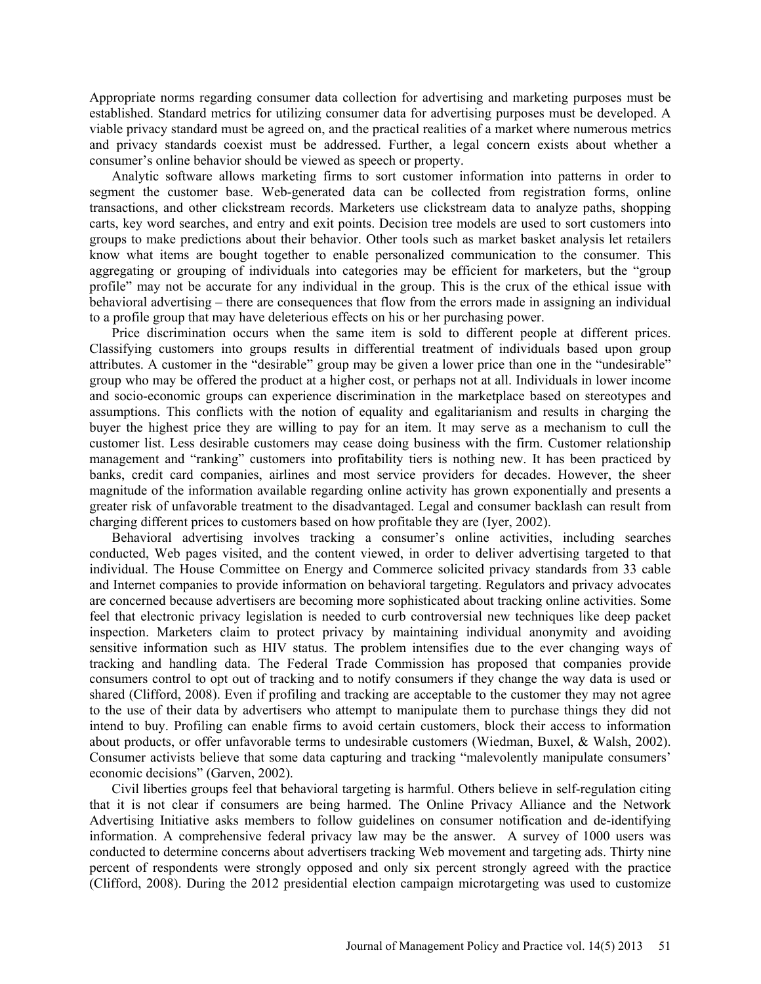Appropriate norms regarding consumer data collection for advertising and marketing purposes must be established. Standard metrics for utilizing consumer data for advertising purposes must be developed. A viable privacy standard must be agreed on, and the practical realities of a market where numerous metrics and privacy standards coexist must be addressed. Further, a legal concern exists about whether a consumer's online behavior should be viewed as speech or property.

Analytic software allows marketing firms to sort customer information into patterns in order to segment the customer base. Web-generated data can be collected from registration forms, online transactions, and other clickstream records. Marketers use clickstream data to analyze paths, shopping carts, key word searches, and entry and exit points. Decision tree models are used to sort customers into groups to make predictions about their behavior. Other tools such as market basket analysis let retailers know what items are bought together to enable personalized communication to the consumer. This aggregating or grouping of individuals into categories may be efficient for marketers, but the "group profile" may not be accurate for any individual in the group. This is the crux of the ethical issue with behavioral advertising – there are consequences that flow from the errors made in assigning an individual to a profile group that may have deleterious effects on his or her purchasing power.

Price discrimination occurs when the same item is sold to different people at different prices. Classifying customers into groups results in differential treatment of individuals based upon group attributes. A customer in the "desirable" group may be given a lower price than one in the "undesirable" group who may be offered the product at a higher cost, or perhaps not at all. Individuals in lower income and socio-economic groups can experience discrimination in the marketplace based on stereotypes and assumptions. This conflicts with the notion of equality and egalitarianism and results in charging the buyer the highest price they are willing to pay for an item. It may serve as a mechanism to cull the customer list. Less desirable customers may cease doing business with the firm. Customer relationship management and "ranking" customers into profitability tiers is nothing new. It has been practiced by banks, credit card companies, airlines and most service providers for decades. However, the sheer magnitude of the information available regarding online activity has grown exponentially and presents a greater risk of unfavorable treatment to the disadvantaged. Legal and consumer backlash can result from charging different prices to customers based on how profitable they are (Iyer, 2002).

Behavioral advertising involves tracking a consumer's online activities, including searches conducted, Web pages visited, and the content viewed, in order to deliver advertising targeted to that individual. The House Committee on Energy and Commerce solicited privacy standards from 33 cable and Internet companies to provide information on behavioral targeting. Regulators and privacy advocates are concerned because advertisers are becoming more sophisticated about tracking online activities. Some feel that electronic privacy legislation is needed to curb controversial new techniques like deep packet inspection. Marketers claim to protect privacy by maintaining individual anonymity and avoiding sensitive information such as HIV status. The problem intensifies due to the ever changing ways of tracking and handling data. The Federal Trade Commission has proposed that companies provide consumers control to opt out of tracking and to notify consumers if they change the way data is used or shared (Clifford, 2008). Even if profiling and tracking are acceptable to the customer they may not agree to the use of their data by advertisers who attempt to manipulate them to purchase things they did not intend to buy. Profiling can enable firms to avoid certain customers, block their access to information about products, or offer unfavorable terms to undesirable customers (Wiedman, Buxel, & Walsh, 2002). Consumer activists believe that some data capturing and tracking "malevolently manipulate consumers' economic decisions" (Garven, 2002).

Civil liberties groups feel that behavioral targeting is harmful. Others believe in self-regulation citing that it is not clear if consumers are being harmed. The Online Privacy Alliance and the Network Advertising Initiative asks members to follow guidelines on consumer notification and de-identifying information. A comprehensive federal privacy law may be the answer. A survey of 1000 users was conducted to determine concerns about advertisers tracking Web movement and targeting ads. Thirty nine percent of respondents were strongly opposed and only six percent strongly agreed with the practice (Clifford, 2008). During the 2012 presidential election campaign microtargeting was used to customize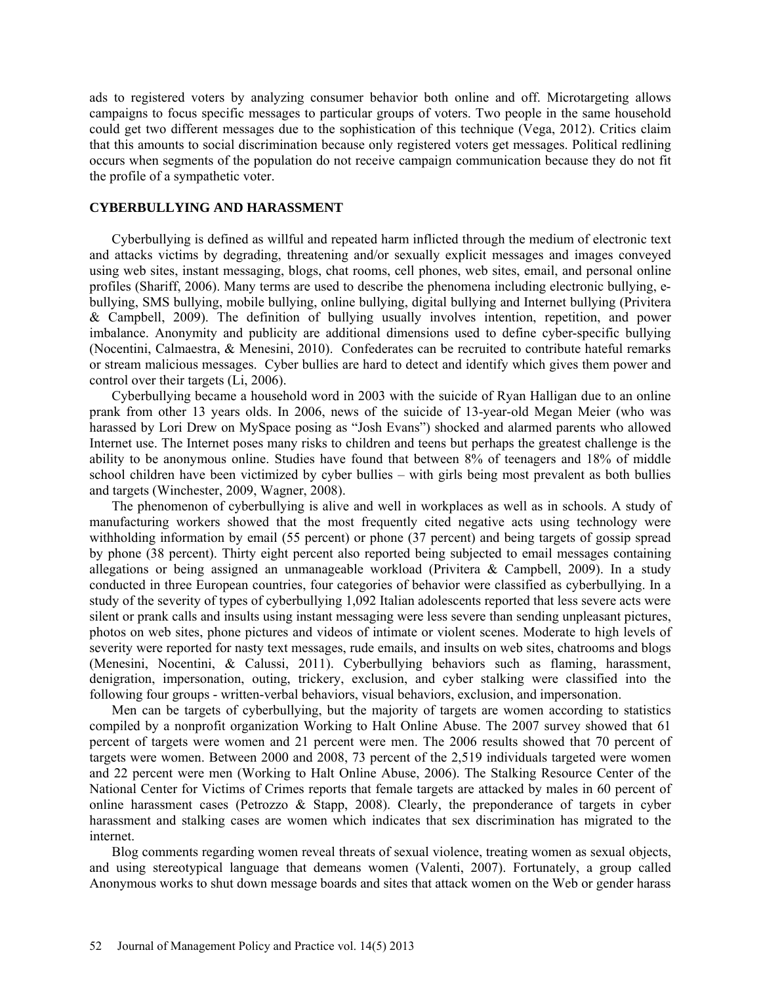ads to registered voters by analyzing consumer behavior both online and off. Microtargeting allows campaigns to focus specific messages to particular groups of voters. Two people in the same household could get two different messages due to the sophistication of this technique (Vega, 2012). Critics claim that this amounts to social discrimination because only registered voters get messages. Political redlining occurs when segments of the population do not receive campaign communication because they do not fit the profile of a sympathetic voter.

### **CYBERBULLYING AND HARASSMENT**

Cyberbullying is defined as willful and repeated harm inflicted through the medium of electronic text and attacks victims by degrading, threatening and/or sexually explicit messages and images conveyed using web sites, instant messaging, blogs, chat rooms, cell phones, web sites, email, and personal online profiles (Shariff, 2006). Many terms are used to describe the phenomena including electronic bullying, ebullying, SMS bullying, mobile bullying, online bullying, digital bullying and Internet bullying (Privitera & Campbell, 2009). The definition of bullying usually involves intention, repetition, and power imbalance. Anonymity and publicity are additional dimensions used to define cyber-specific bullying (Nocentini, Calmaestra, & Menesini, 2010). Confederates can be recruited to contribute hateful remarks or stream malicious messages. Cyber bullies are hard to detect and identify which gives them power and control over their targets (Li, 2006).

Cyberbullying became a household word in 2003 with the suicide of Ryan Halligan due to an online prank from other 13 years olds. In 2006, news of the suicide of 13-year-old Megan Meier (who was harassed by Lori Drew on MySpace posing as "Josh Evans") shocked and alarmed parents who allowed Internet use. The Internet poses many risks to children and teens but perhaps the greatest challenge is the ability to be anonymous online. Studies have found that between 8% of teenagers and 18% of middle school children have been victimized by cyber bullies – with girls being most prevalent as both bullies and targets (Winchester, 2009, Wagner, 2008).

The phenomenon of cyberbullying is alive and well in workplaces as well as in schools. A study of manufacturing workers showed that the most frequently cited negative acts using technology were withholding information by email (55 percent) or phone (37 percent) and being targets of gossip spread by phone (38 percent). Thirty eight percent also reported being subjected to email messages containing allegations or being assigned an unmanageable workload (Privitera & Campbell, 2009). In a study conducted in three European countries, four categories of behavior were classified as cyberbullying. In a study of the severity of types of cyberbullying 1,092 Italian adolescents reported that less severe acts were silent or prank calls and insults using instant messaging were less severe than sending unpleasant pictures, photos on web sites, phone pictures and videos of intimate or violent scenes. Moderate to high levels of severity were reported for nasty text messages, rude emails, and insults on web sites, chatrooms and blogs (Menesini, Nocentini, & Calussi, 2011). Cyberbullying behaviors such as flaming, harassment, denigration, impersonation, outing, trickery, exclusion, and cyber stalking were classified into the following four groups - written-verbal behaviors, visual behaviors, exclusion, and impersonation.

Men can be targets of cyberbullying, but the majority of targets are women according to statistics compiled by a nonprofit organization Working to Halt Online Abuse. The 2007 survey showed that 61 percent of targets were women and 21 percent were men. The 2006 results showed that 70 percent of targets were women. Between 2000 and 2008, 73 percent of the 2,519 individuals targeted were women and 22 percent were men (Working to Halt Online Abuse, 2006). The Stalking Resource Center of the National Center for Victims of Crimes reports that female targets are attacked by males in 60 percent of online harassment cases (Petrozzo  $\&$  Stapp, 2008). Clearly, the preponderance of targets in cyber harassment and stalking cases are women which indicates that sex discrimination has migrated to the internet.

Blog comments regarding women reveal threats of sexual violence, treating women as sexual objects, and using stereotypical language that demeans women (Valenti, 2007). Fortunately, a group called Anonymous works to shut down message boards and sites that attack women on the Web or gender harass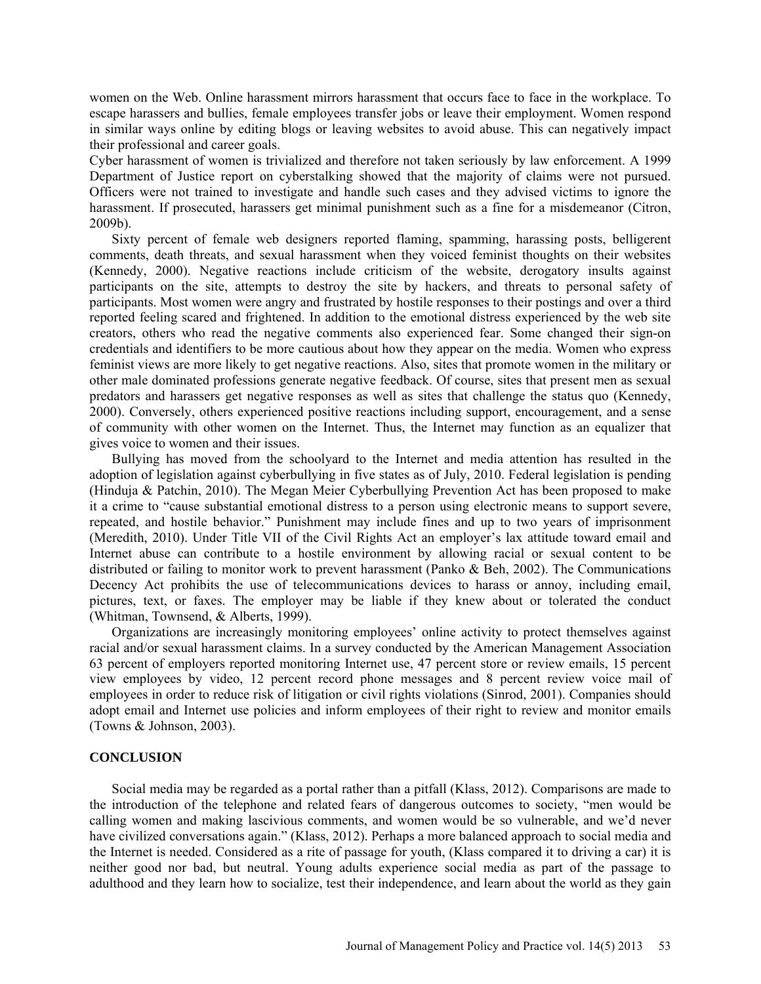women on the Web. Online harassment mirrors harassment that occurs face to face in the workplace. To escape harassers and bullies, female employees transfer jobs or leave their employment. Women respond in similar ways online by editing blogs or leaving websites to avoid abuse. This can negatively impact their professional and career goals.

Cyber harassment of women is trivialized and therefore not taken seriously by law enforcement. A 1999 Department of Justice report on cyberstalking showed that the majority of claims were not pursued. Officers were not trained to investigate and handle such cases and they advised victims to ignore the harassment. If prosecuted, harassers get minimal punishment such as a fine for a misdemeanor (Citron, 2009b).

Sixty percent of female web designers reported flaming, spamming, harassing posts, belligerent comments, death threats, and sexual harassment when they voiced feminist thoughts on their websites (Kennedy, 2000). Negative reactions include criticism of the website, derogatory insults against participants on the site, attempts to destroy the site by hackers, and threats to personal safety of participants. Most women were angry and frustrated by hostile responses to their postings and over a third reported feeling scared and frightened. In addition to the emotional distress experienced by the web site creators, others who read the negative comments also experienced fear. Some changed their sign-on credentials and identifiers to be more cautious about how they appear on the media. Women who express feminist views are more likely to get negative reactions. Also, sites that promote women in the military or other male dominated professions generate negative feedback. Of course, sites that present men as sexual predators and harassers get negative responses as well as sites that challenge the status quo (Kennedy, 2000). Conversely, others experienced positive reactions including support, encouragement, and a sense of community with other women on the Internet. Thus, the Internet may function as an equalizer that gives voice to women and their issues.

Bullying has moved from the schoolyard to the Internet and media attention has resulted in the adoption of legislation against cyberbullying in five states as of July, 2010. Federal legislation is pending (Hinduja & Patchin, 2010). The Megan Meier Cyberbullying Prevention Act has been proposed to make it a crime to "cause substantial emotional distress to a person using electronic means to support severe, repeated, and hostile behavior." Punishment may include fines and up to two years of imprisonment (Meredith, 2010). Under Title VII of the Civil Rights Act an employer's lax attitude toward email and Internet abuse can contribute to a hostile environment by allowing racial or sexual content to be distributed or failing to monitor work to prevent harassment (Panko & Beh, 2002). The Communications Decency Act prohibits the use of telecommunications devices to harass or annoy, including email, pictures, text, or faxes. The employer may be liable if they knew about or tolerated the conduct (Whitman, Townsend, & Alberts, 1999).

Organizations are increasingly monitoring employees' online activity to protect themselves against racial and/or sexual harassment claims. In a survey conducted by the American Management Association 63 percent of employers reported monitoring Internet use, 47 percent store or review emails, 15 percent view employees by video, 12 percent record phone messages and 8 percent review voice mail of employees in order to reduce risk of litigation or civil rights violations (Sinrod, 2001). Companies should adopt email and Internet use policies and inform employees of their right to review and monitor emails (Towns & Johnson, 2003).

### **CONCLUSION**

Social media may be regarded as a portal rather than a pitfall (Klass, 2012). Comparisons are made to the introduction of the telephone and related fears of dangerous outcomes to society, "men would be calling women and making lascivious comments, and women would be so vulnerable, and we'd never have civilized conversations again." (Klass, 2012). Perhaps a more balanced approach to social media and the Internet is needed. Considered as a rite of passage for youth, (Klass compared it to driving a car) it is neither good nor bad, but neutral. Young adults experience social media as part of the passage to adulthood and they learn how to socialize, test their independence, and learn about the world as they gain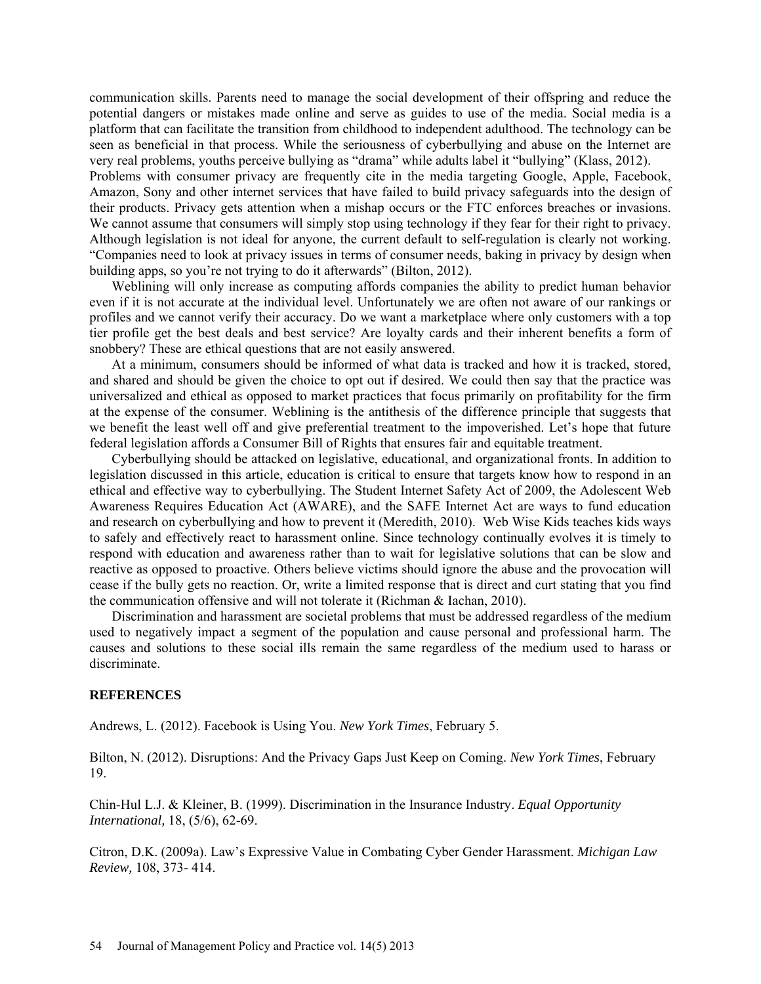communication skills. Parents need to manage the social development of their offspring and reduce the potential dangers or mistakes made online and serve as guides to use of the media. Social media is a platform that can facilitate the transition from childhood to independent adulthood. The technology can be seen as beneficial in that process. While the seriousness of cyberbullying and abuse on the Internet are very real problems, youths perceive bullying as "drama" while adults label it "bullying" (Klass, 2012). Problems with consumer privacy are frequently cite in the media targeting Google, Apple, Facebook,

Amazon, Sony and other internet services that have failed to build privacy safeguards into the design of their products. Privacy gets attention when a mishap occurs or the FTC enforces breaches or invasions. We cannot assume that consumers will simply stop using technology if they fear for their right to privacy. Although legislation is not ideal for anyone, the current default to self-regulation is clearly not working. "Companies need to look at privacy issues in terms of consumer needs, baking in privacy by design when building apps, so you're not trying to do it afterwards" (Bilton, 2012).

Weblining will only increase as computing affords companies the ability to predict human behavior even if it is not accurate at the individual level. Unfortunately we are often not aware of our rankings or profiles and we cannot verify their accuracy. Do we want a marketplace where only customers with a top tier profile get the best deals and best service? Are loyalty cards and their inherent benefits a form of snobbery? These are ethical questions that are not easily answered.

At a minimum, consumers should be informed of what data is tracked and how it is tracked, stored, and shared and should be given the choice to opt out if desired. We could then say that the practice was universalized and ethical as opposed to market practices that focus primarily on profitability for the firm at the expense of the consumer. Weblining is the antithesis of the difference principle that suggests that we benefit the least well off and give preferential treatment to the impoverished. Let's hope that future federal legislation affords a Consumer Bill of Rights that ensures fair and equitable treatment.

Cyberbullying should be attacked on legislative, educational, and organizational fronts. In addition to legislation discussed in this article, education is critical to ensure that targets know how to respond in an ethical and effective way to cyberbullying. The Student Internet Safety Act of 2009, the Adolescent Web Awareness Requires Education Act (AWARE), and the SAFE Internet Act are ways to fund education and research on cyberbullying and how to prevent it (Meredith, 2010). Web Wise Kids teaches kids ways to safely and effectively react to harassment online. Since technology continually evolves it is timely to respond with education and awareness rather than to wait for legislative solutions that can be slow and reactive as opposed to proactive. Others believe victims should ignore the abuse and the provocation will cease if the bully gets no reaction. Or, write a limited response that is direct and curt stating that you find the communication offensive and will not tolerate it (Richman & Iachan, 2010).

Discrimination and harassment are societal problems that must be addressed regardless of the medium used to negatively impact a segment of the population and cause personal and professional harm. The causes and solutions to these social ills remain the same regardless of the medium used to harass or discriminate.

### **REFERENCES**

Andrews, L. (2012). Facebook is Using You. *New York Times*, February 5.

Bilton, N. (2012). Disruptions: And the Privacy Gaps Just Keep on Coming. *New York Times*, February 19.

Chin-Hul L.J. & Kleiner, B. (1999). Discrimination in the Insurance Industry. *Equal Opportunity International,* 18, (5/6), 62-69.

Citron, D.K. (2009a). Law's Expressive Value in Combating Cyber Gender Harassment. *Michigan Law Review,* 108, 373- 414.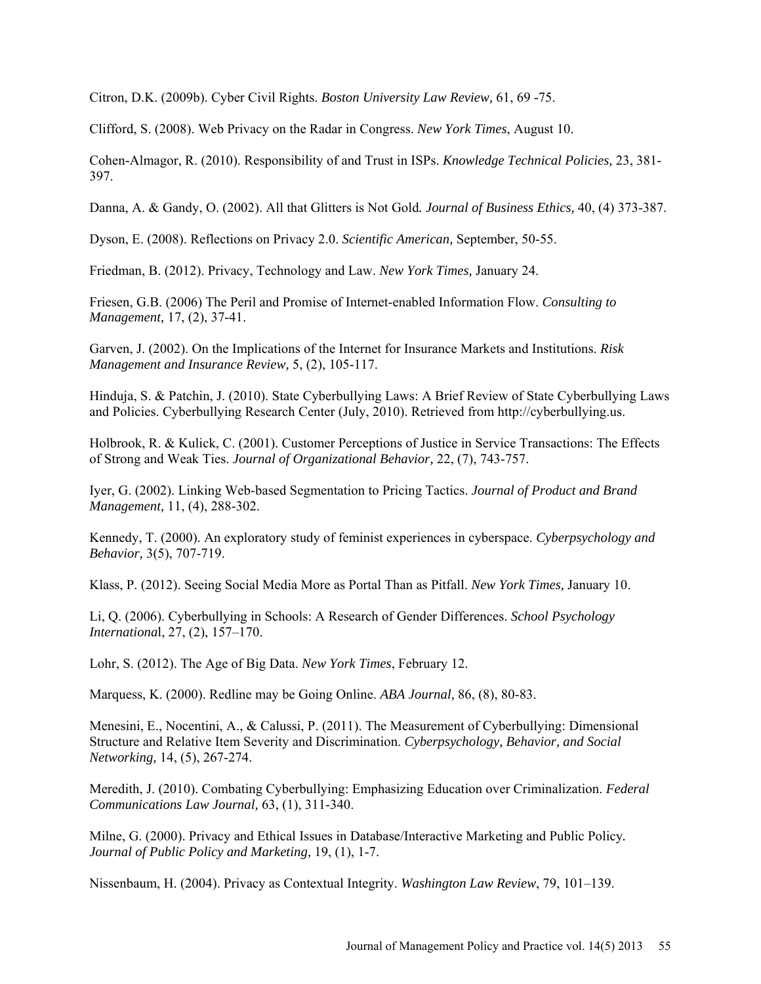Citron, D.K. (2009b). Cyber Civil Rights. *Boston University Law Review,* 61, 69 -75.

Clifford, S. (2008). Web Privacy on the Radar in Congress. *New York Times*, August 10.

Cohen-Almagor, R. (2010). Responsibility of and Trust in ISPs. *Knowledge Technical Policies,* 23, 381- 397.

Danna, A. & Gandy, O. (2002). All that Glitters is Not Gold*. Journal of Business Ethics,* 40, (4) 373-387.

Dyson, E. (2008). Reflections on Privacy 2.0. *Scientific American,* September, 50-55.

Friedman, B. (2012). Privacy, Technology and Law. *New York Times,* January 24.

Friesen, G.B. (2006) The Peril and Promise of Internet-enabled Information Flow. *Consulting to Management,* 17, (2), 37-41.

Garven, J. (2002). On the Implications of the Internet for Insurance Markets and Institutions. *Risk Management and Insurance Review,* 5, (2), 105-117.

Hinduja, S. & Patchin, J. (2010). State Cyberbullying Laws: A Brief Review of State Cyberbullying Laws and Policies. Cyberbullying Research Center (July, 2010). Retrieved from [http://cyberbullying.us.](http://cyberbullying.us/)

Holbrook, R. & Kulick, C. (2001). Customer Perceptions of Justice in Service Transactions: The Effects of Strong and Weak Ties. *Journal of Organizational Behavior,* 22, (7), 743-757.

Iyer, G. (2002). Linking Web-based Segmentation to Pricing Tactics. *Journal of Product and Brand Management,* 11, (4), 288-302.

Kennedy, T. (2000). An exploratory study of feminist experiences in cyberspace. *Cyberpsychology and Behavior,* 3(5), 707-719.

Klass, P. (2012). Seeing Social Media More as Portal Than as Pitfall. *New York Times,* January 10.

Li, Q. (2006). Cyberbullying in Schools: A Research of Gender Differences. *School Psychology Internationa*l, 27, (2), 157–170.

Lohr, S. (2012). The Age of Big Data. *New York Times*, February 12.

Marquess, K. (2000). Redline may be Going Online. *ABA Journal,* 86, (8), 80-83.

Menesini, E., Nocentini, A., & Calussi, P. (2011). The Measurement of Cyberbullying: Dimensional Structure and Relative Item Severity and Discrimination. *Cyberpsychology, Behavior, and Social Networking,* 14, (5), 267-274.

Meredith, J. (2010). Combating Cyberbullying: Emphasizing Education over Criminalization. *Federal Communications Law Journal,* 63, (1), 311-340.

Milne, G. (2000). Privacy and Ethical Issues in Database/Interactive Marketing and Public Policy*. Journal of Public Policy and Marketing,* 19, (1), 1-7.

Nissenbaum, H. (2004). Privacy as Contextual Integrity. *Washington Law Review*, 79, 101–139.